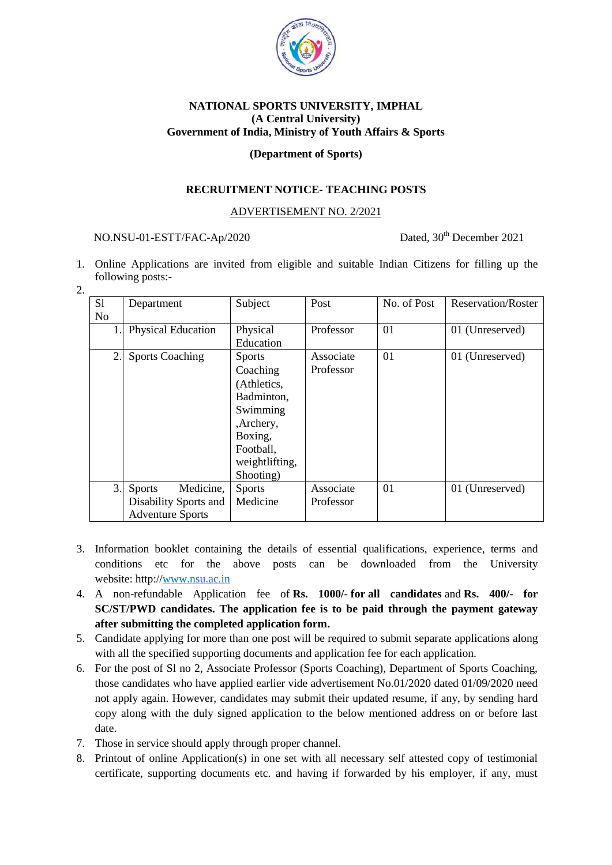

# **NATIONAL SPORTS UNIVERSITY, IMPHAL (A Central University) Government of India, Ministry of Youth Affairs & Sports**

### **(Department of Sports)**

## **RECRUITMENT NOTICE- TEACHING POSTS**

### ADVERTISEMENT NO. 2/2021

# NO.NSU-01-ESTT/FAC-Ap/2020 Dated, 30<sup>th</sup> December 2021

- 1. Online Applications are invited from eligible and suitable Indian Citizens for filling up the following posts:-
- 2.

| S1 | Department                 | Subject        | Post      | No. of Post | <b>Reservation/Roster</b> |
|----|----------------------------|----------------|-----------|-------------|---------------------------|
| No |                            |                |           |             |                           |
|    | <b>Physical Education</b>  | Physical       | Professor | 01          | 01 (Unreserved)           |
|    |                            | Education      |           |             |                           |
| 2. | <b>Sports Coaching</b>     | <b>Sports</b>  | Associate | 01          | 01 (Unreserved)           |
|    |                            | Coaching       | Professor |             |                           |
|    |                            | (Athletics,    |           |             |                           |
|    |                            | Badminton,     |           |             |                           |
|    |                            | Swimming       |           |             |                           |
|    |                            | ,Archery,      |           |             |                           |
|    |                            | Boxing,        |           |             |                           |
|    |                            | Football,      |           |             |                           |
|    |                            | weightlifting, |           |             |                           |
|    |                            | Shooting)      |           |             |                           |
| 3. | Medicine,<br><b>Sports</b> | <b>Sports</b>  | Associate | 01          | 01 (Unreserved)           |
|    | Disability Sports and      | Medicine       | Professor |             |                           |
|    | <b>Adventure Sports</b>    |                |           |             |                           |

- 3. Information booklet containing the details of essential qualifications, experience, terms and conditions etc for the above posts can be downloaded from the University website: http:/[/www.nsu.ac.in](http://www.nsu.ac.in/)
- 4. A non-refundable Application fee of **Rs. 1000/- for all candidates** and **Rs. 400/- for SC/ST/PWD candidates. The application fee is to be paid through the payment gateway after submitting the completed application form.**
- 5. Candidate applying for more than one post will be required to submit separate applications along with all the specified supporting documents and application fee for each application.
- 6. For the post of Sl no 2, Associate Professor (Sports Coaching), Department of Sports Coaching, those candidates who have applied earlier vide advertisement No.01/2020 dated 01/09/2020 need not apply again. However, candidates may submit their updated resume, if any, by sending hard copy along with the duly signed application to the below mentioned address on or before last date.
- 7. Those in service should apply through proper channel.
- 8. Printout of online Application(s) in one set with all necessary self attested copy of testimonial certificate, supporting documents etc. and having if forwarded by his employer, if any, must